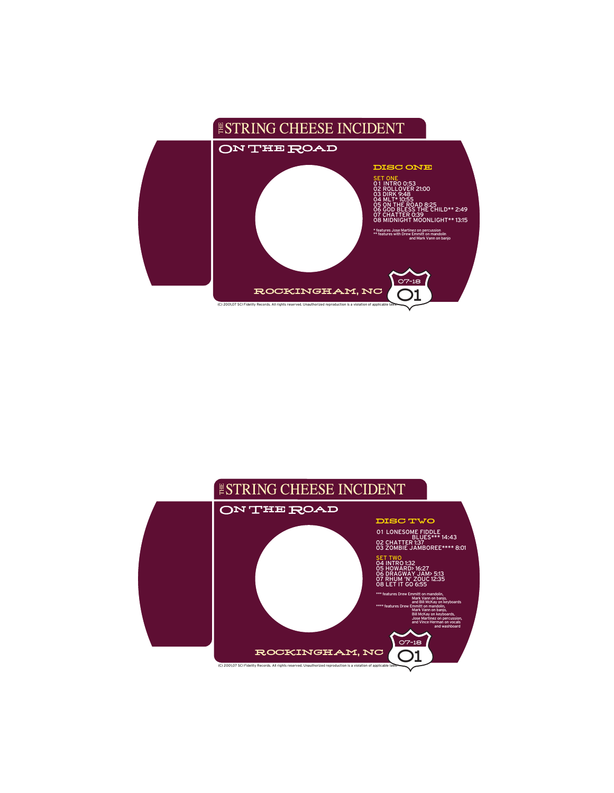